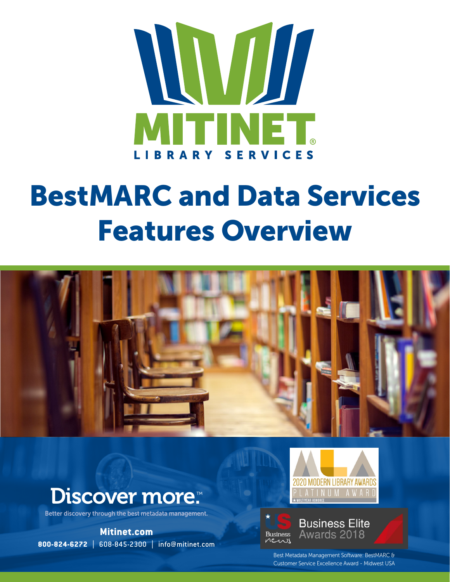

# BestMARC and Data Services Features Overview



## **Discover more:**

Better discovery through the best metadata management.

**Mitinet.com 800-824-6272** | 608-845-2300 | info@mitinet.com



#### **Business Elite** Awards 2018 **Business** news

Best Metadata Management Software: BestMARC & Customer Service Excellence Award - Midwest USA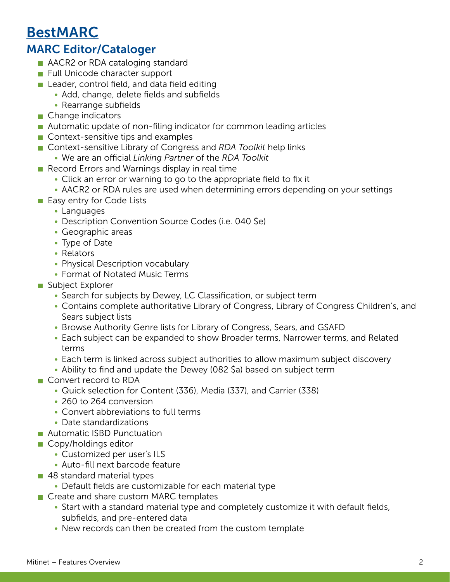#### BestMARC

#### MARC Editor/Cataloger

- **AACR2** or RDA cataloging standard
- **Full Unicode character support**
- **Leader, control field, and data field editing** 
	- Add, change, delete fields and subfields
	- Rearrange subfields
- Change indicators
- Automatic update of non-filing indicator for common leading articles
- Context-sensitive tips and examples
- Context-sensitive Library of Congress and *RDA Toolkit* help links
	- We are an official *Linking Partner* of the *RDA Toolkit*
- Record Errors and Warnings display in real time
	- Click an error or warning to go to the appropriate field to fix it
	- AACR2 or RDA rules are used when determining errors depending on your settings
- **Easy entry for Code Lists** 
	- Languages
	- Description Convention Source Codes (i.e. 040 \$e)
	- Geographic areas
	- Type of Date
	- Relators
	- Physical Description vocabulary
	- Format of Notated Music Terms
- Subject Explorer
	- Search for subjects by Dewey, LC Classification, or subject term
	- Contains complete authoritative Library of Congress, Library of Congress Children's, and Sears subject lists
	- Browse Authority Genre lists for Library of Congress, Sears, and GSAFD
	- Each subject can be expanded to show Broader terms, Narrower terms, and Related terms
	- Each term is linked across subject authorities to allow maximum subject discovery
	- Ability to find and update the Dewey (082 \$a) based on subject term
- Convert record to RDA
	- Quick selection for Content (336), Media (337), and Carrier (338)
	- 260 to 264 conversion
	- Convert abbreviations to full terms
	- Date standardizations
- **Automatic ISBD Punctuation**
- Copy/holdings editor
	- Customized per user's ILS
	- Auto-fill next barcode feature
- 48 standard material types
	- Default fields are customizable for each material type
- Create and share custom MARC templates
	- Start with a standard material type and completely customize it with default fields, subfields, and pre-entered data
	- New records can then be created from the custom template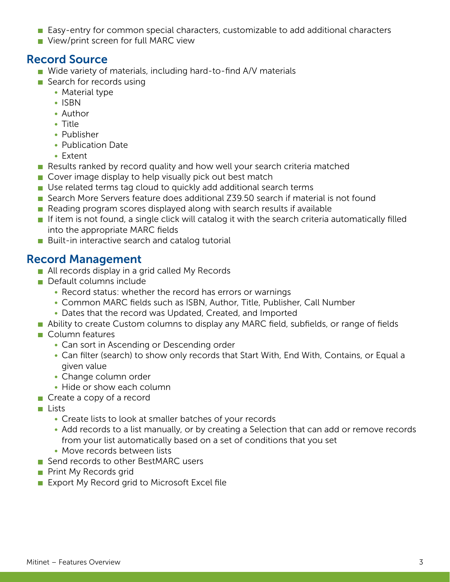- **Easy-entry for common special characters, customizable to add additional characters**
- **View/print screen for full MARC view**

#### Record Source

- Wide variety of materials, including hard-to-find A/V materials
- Search for records using
	- Material type
	- ISBN
	- Author
	- Title
	- Publisher
	- Publication Date
	- Extent
- Results ranked by record quality and how well your search criteria matched
- Cover image display to help visually pick out best match
- Use related terms tag cloud to quickly add additional search terms
- Search More Servers feature does additional Z39.50 search if material is not found
- Reading program scores displayed along with search results if available
- If item is not found, a single click will catalog it with the search criteria automatically filled into the appropriate MARC fields
- **Built-in interactive search and catalog tutorial**

#### Record Management

- All records display in a grid called My Records
- **Default columns include** 
	- Record status: whether the record has errors or warnings
	- Common MARC fields such as ISBN, Author, Title, Publisher, Call Number
	- Dates that the record was Updated, Created, and Imported
- **Ability to create Custom columns to display any MARC field, subfields, or range of fields**
- Column features
	- Can sort in Ascending or Descending order
	- Can filter (search) to show only records that Start With, End With, Contains, or Equal a given value
	- Change column order
	- Hide or show each column
- Create a copy of a record
- $\blacksquare$  Lists
	- Create lists to look at smaller batches of your records
	- Add records to a list manually, or by creating a Selection that can add or remove records from your list automatically based on a set of conditions that you set
	- Move records between lists
- Send records to other BestMARC users
- **Print My Records grid**
- Export My Record grid to Microsoft Excel file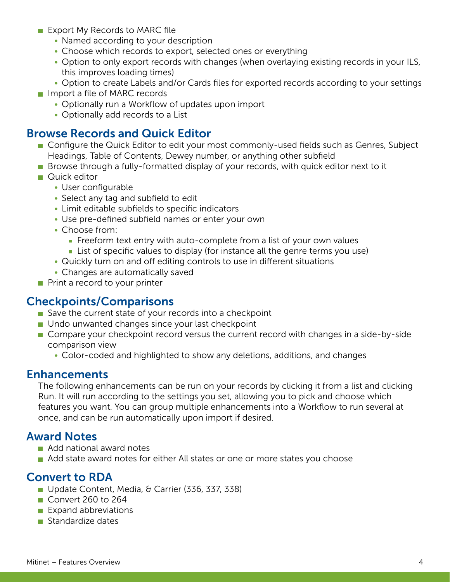- **Export My Records to MARC file** 
	- Named according to your description
	- Choose which records to export, selected ones or everything
	- Option to only export records with changes (when overlaying existing records in your ILS, this improves loading times)
	- Option to create Labels and/or Cards files for exported records according to your settings
- $\blacksquare$  Import a file of MARC records
	- Optionally run a Workflow of updates upon import
	- Optionally add records to a List

#### Browse Records and Quick Editor

- **Configure the Quick Editor to edit your most commonly-used fields such as Genres, Subject** Headings, Table of Contents, Dewey number, or anything other subfield
- **Browse through a fully-formatted display of your records, with quick editor next to it**
- **Quick editor** 
	- User configurable
	- Select any tag and subfield to edit
	- Limit editable subfields to specific indicators
	- Use pre-defined subfield names or enter your own
	- Choose from:
		- **Filter** Freeform text entry with auto-complete from a list of your own values
		- **List of specific values to display (for instance all the genre terms you use)**
	- Quickly turn on and off editing controls to use in different situations
	- Changes are automatically saved
- Print a record to your printer

#### Checkpoints/Comparisons

- Save the current state of your records into a checkpoint
- **Undo unwanted changes since your last checkpoint**
- **Compare your checkpoint record versus the current record with changes in a side-by-side** comparison view
	- Color-coded and highlighted to show any deletions, additions, and changes

#### Enhancements

The following enhancements can be run on your records by clicking it from a list and clicking Run. It will run according to the settings you set, allowing you to pick and choose which features you want. You can group multiple enhancements into a Workflow to run several at once, and can be run automatically upon import if desired.

#### Award Notes

- Add national award notes
- Add state award notes for either All states or one or more states you choose

#### Convert to RDA

- Update Content, Media, & Carrier (336, 337, 338)
- Convert 260 to 264
- $\blacksquare$  Expand abbreviations
- Standardize dates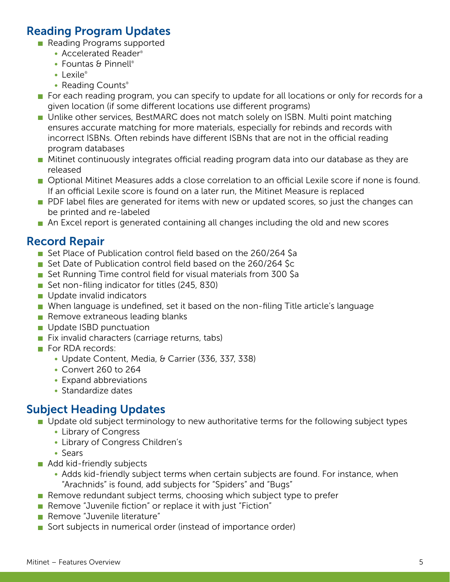#### Reading Program Updates

- Reading Programs supported
	- Accelerated Reader®
	- Fountas & Pinnell®
	- $\cdot$  Lexile®
	- Reading Counts®
- For each reading program, you can specify to update for all locations or only for records for a given location (if some different locations use different programs)
- **DED Unlike other services, BestMARC does not match solely on ISBN. Multi point matching** ensures accurate matching for more materials, especially for rebinds and records with incorrect ISBNs. Often rebinds have different ISBNs that are not in the official reading program databases
- **Mitinet continuously integrates official reading program data into our database as they are** released
- **Dependence Measures adds a close correlation to an official Lexile score if none is found.** If an official Lexile score is found on a later run, the Mitinet Measure is replaced
- **PDF** label files are generated for items with new or updated scores, so just the changes can be printed and re-labeled
- An Excel report is generated containing all changes including the old and new scores

#### Record Repair

- Set Place of Publication control field based on the 260/264 \$a
- Set Date of Publication control field based on the 260/264 Sc
- Set Running Time control field for visual materials from 300 \$a
- Set non-filing indicator for titles (245, 830)
- **Update invalid indicators**
- When language is undefined, set it based on the non-filing Title article's language
- $\blacksquare$  Remove extraneous leading blanks
- **Update ISBD punctuation**
- $\blacksquare$  Fix invalid characters (carriage returns, tabs)
- For RDA records:
	- Update Content, Media, & Carrier (336, 337, 338)
	- Convert 260 to 264
	- Expand abbreviations
	- Standardize dates

#### Subject Heading Updates

- Update old subject terminology to new authoritative terms for the following subject types
	- Library of Congress
	- Library of Congress Children's
	- Sears
- Add kid-friendly subjects
	- Adds kid-friendly subject terms when certain subjects are found. For instance, when "Arachnids" is found, add subjects for "Spiders" and "Bugs"
- Remove redundant subject terms, choosing which subject type to prefer
- **Remove** "Juvenile fiction" or replace it with just "Fiction"
- **Remove** "Juvenile literature"
- Sort subjects in numerical order (instead of importance order)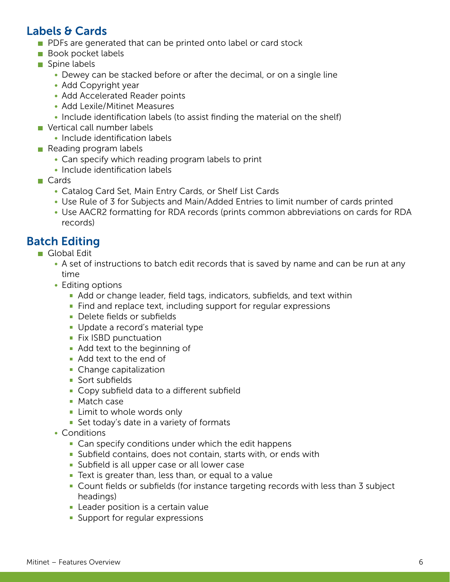#### Labels & Cards

- **PDFs are generated that can be printed onto label or card stock**
- **Book pocket labels**
- Spine labels
	- Dewey can be stacked before or after the decimal, or on a single line
	- Add Copyright year
	- Add Accelerated Reader points
	- Add Lexile/Mitinet Measures
	- Include identification labels (to assist finding the material on the shelf)
- Vertical call number labels
	- Include identification labels
- Reading program labels
	- Can specify which reading program labels to print
	- Include identification labels
- **□ Cards** 
	- Catalog Card Set, Main Entry Cards, or Shelf List Cards
	- Use Rule of 3 for Subjects and Main/Added Entries to limit number of cards printed
	- Use AACR2 formatting for RDA records (prints common abbreviations on cards for RDA records)

#### Batch Editing

- Global Edit
	- A set of instructions to batch edit records that is saved by name and can be run at any time
	- Editing options
		- Add or change leader, field tags, indicators, subfields, and text within
		- **Find and replace text, including support for regular expressions**
		- **Delete fields or subfields**
		- Update a record's material type
		- **Fix ISBD punctuation**
		- **Add text to the beginning of**
		- Add text to the end of
		- Change capitalization
		- **Sort subfields**
		- **Copy subfield data to a different subfield**
		- Match case
		- **Limit to whole words only**
		- Set today's date in a variety of formats
	- Conditions
		- **Can specify conditions under which the edit happens**
		- Subfield contains, does not contain, starts with, or ends with
		- **Subfield is all upper case or all lower case**
		- **Text is greater than, less than, or equal to a value**
		- Count fields or subfields (for instance targeting records with less than 3 subject headings)
		- **EXEC** Leader position is a certain value
		- **Support for regular expressions**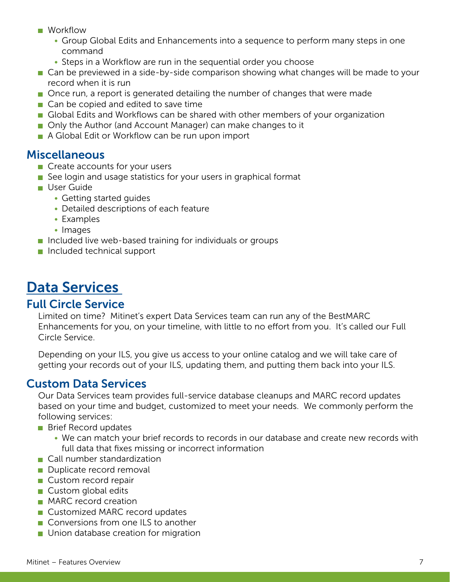- **Norkflow** 
	- Group Global Edits and Enhancements into a sequence to perform many steps in one command
	- Steps in a Workflow are run in the sequential order you choose
- Can be previewed in a side-by-side comparison showing what changes will be made to your record when it is run
- **Once run, a report is generated detailing the number of changes that were made**
- Can be copied and edited to save time
- Global Edits and Workflows can be shared with other members of your organization
- Only the Author (and Account Manager) can make changes to it
- A Global Edit or Workflow can be run upon import

#### Miscellaneous

- Create accounts for your users
- See login and usage statistics for your users in graphical format
- **User Guide** 
	- Getting started guides
	- Detailed descriptions of each feature
	- Examples
	- Images
- **Included live web-based training for individuals or groups**
- Included technical support

### Data Services

#### Full Circle Service

Limited on time? Mitinet's expert Data Services team can run any of the BestMARC Enhancements for you, on your timeline, with little to no effort from you. It's called our Full Circle Service.

Depending on your ILS, you give us access to your online catalog and we will take care of getting your records out of your ILS, updating them, and putting them back into your ILS.

#### Custom Data Services

Our Data Services team provides full-service database cleanups and MARC record updates based on your time and budget, customized to meet your needs. We commonly perform the following services:

- **Brief Record updates** 
	- We can match your brief records to records in our database and create new records with full data that fixes missing or incorrect information
- Call number standardization
- Duplicate record removal
- **Custom record repair**
- Custom global edits
- **MARC** record creation
- **Customized MARC record updates**
- Conversions from one ILS to another
- **Union database creation for migration**